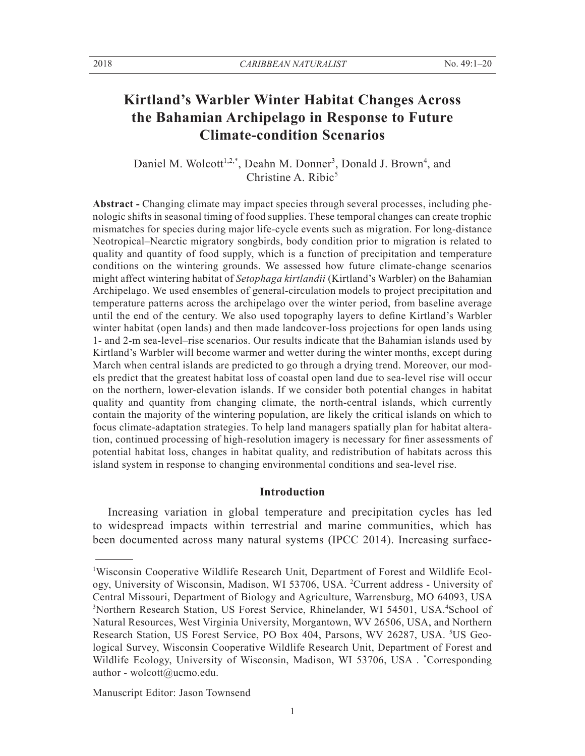# **Kirtland's Warbler Winter Habitat Changes Across the Bahamian Archipelago in Response to Future Climate-condition Scenarios**

Daniel M. Wolcott<sup>1,2,\*</sup>, Deahn M. Donner<sup>3</sup>, Donald J. Brown<sup>4</sup>, and Christine A. Ribic $5$ 

**Abstract -** Changing climate may impact species through several processes, including phenologic shifts in seasonal timing of food supplies. These temporal changes can create trophic mismatches for species during major life-cycle events such as migration. For long-distance Neotropical–Nearctic migratory songbirds, body condition prior to migration is related to quality and quantity of food supply, which is a function of precipitation and temperature conditions on the wintering grounds. We assessed how future climate-change scenarios might affect wintering habitat of *Setophaga kirtlandii* (Kirtland's Warbler) on the Bahamian Archipelago. We used ensembles of general-circulation models to project precipitation and temperature patterns across the archipelago over the winter period, from baseline average until the end of the century. We also used topography layers to define Kirtland's Warbler winter habitat (open lands) and then made landcover-loss projections for open lands using 1- and 2-m sea-level–rise scenarios. Our results indicate that the Bahamian islands used by Kirtland's Warbler will become warmer and wetter during the winter months, except during March when central islands are predicted to go through a drying trend. Moreover, our models predict that the greatest habitat loss of coastal open land due to sea-level rise will occur on the northern, lower-elevation islands. If we consider both potential changes in habitat quality and quantity from changing climate, the north-central islands, which currently contain the majority of the wintering population, are likely the critical islands on which to focus climate-adaptation strategies. To help land managers spatially plan for habitat alteration, continued processing of high-resolution imagery is necessary for finer assessments of potential habitat loss, changes in habitat quality, and redistribution of habitats across this island system in response to changing environmental conditions and sea-level rise.

### **Introduction**

 Increasing variation in global temperature and precipitation cycles has led to widespread impacts within terrestrial and marine communities, which has been documented across many natural systems (IPCC 2014). Increasing surface-

Manuscript Editor: Jason Townsend

<sup>&</sup>lt;sup>1</sup>Wisconsin Cooperative Wildlife Research Unit, Department of Forest and Wildlife Ecology, University of Wisconsin, Madison, WI 53706, USA. <sup>2</sup>Current address - University of Central Missouri, Department of Biology and Agriculture, Warrensburg, MO 64093, USA <sup>3</sup>Northern Research Station, US Forest Service, Rhinelander, WI 54501, USA.<sup>4</sup>School of Natural Resources, West Virginia University, Morgantown, WV 26506, USA, and Northern Research Station, US Forest Service, PO Box 404, Parsons, WV 26287, USA. <sup>5</sup>US Geological Survey, Wisconsin Cooperative Wildlife Research Unit, Department of Forest and Wildlife Ecology, University of Wisconsin, Madison, WI 53706, USA . \* Corresponding author - wolcott@ucmo.edu.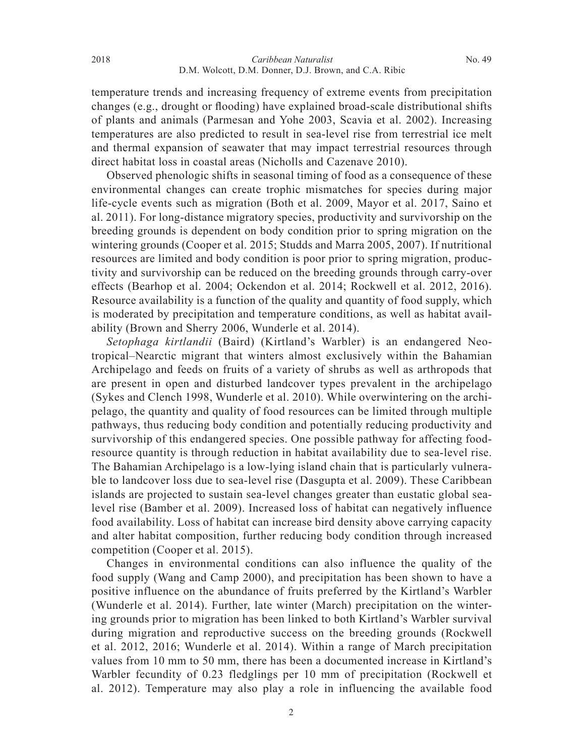temperature trends and increasing frequency of extreme events from precipitation changes (e.g., drought or flooding) have explained broad-scale distributional shifts of plants and animals (Parmesan and Yohe 2003, Scavia et al. 2002). Increasing temperatures are also predicted to result in sea-level rise from terrestrial ice melt and thermal expansion of seawater that may impact terrestrial resources through direct habitat loss in coastal areas (Nicholls and Cazenave 2010).

 Observed phenologic shifts in seasonal timing of food as a consequence of these environmental changes can create trophic mismatches for species during major life-cycle events such as migration (Both et al. 2009, Mayor et al. 2017, Saino et al. 2011). For long-distance migratory species, productivity and survivorship on the breeding grounds is dependent on body condition prior to spring migration on the wintering grounds (Cooper et al. 2015; Studds and Marra 2005, 2007). If nutritional resources are limited and body condition is poor prior to spring migration, productivity and survivorship can be reduced on the breeding grounds through carry-over effects (Bearhop et al. 2004; Ockendon et al. 2014; Rockwell et al. 2012, 2016). Resource availability is a function of the quality and quantity of food supply, which is moderated by precipitation and temperature conditions, as well as habitat availability (Brown and Sherry 2006, Wunderle et al. 2014).

 *Setophaga kirtlandii* (Baird) (Kirtland's Warbler) is an endangered Neotropical–Nearctic migrant that winters almost exclusively within the Bahamian Archipelago and feeds on fruits of a variety of shrubs as well as arthropods that are present in open and disturbed landcover types prevalent in the archipelago (Sykes and Clench 1998, Wunderle et al. 2010). While overwintering on the archipelago, the quantity and quality of food resources can be limited through multiple pathways, thus reducing body condition and potentially reducing productivity and survivorship of this endangered species. One possible pathway for affecting foodresource quantity is through reduction in habitat availability due to sea-level rise. The Bahamian Archipelago is a low-lying island chain that is particularly vulnerable to landcover loss due to sea-level rise (Dasgupta et al. 2009). These Caribbean islands are projected to sustain sea-level changes greater than eustatic global sealevel rise (Bamber et al. 2009). Increased loss of habitat can negatively influence food availability. Loss of habitat can increase bird density above carrying capacity and alter habitat composition, further reducing body condition through increased competition (Cooper et al. 2015).

 Changes in environmental conditions can also influence the quality of the food supply (Wang and Camp 2000), and precipitation has been shown to have a positive influence on the abundance of fruits preferred by the Kirtland's Warbler (Wunderle et al. 2014). Further, late winter (March) precipitation on the wintering grounds prior to migration has been linked to both Kirtland's Warbler survival during migration and reproductive success on the breeding grounds (Rockwell et al. 2012, 2016; Wunderle et al. 2014). Within a range of March precipitation values from 10 mm to 50 mm, there has been a documented increase in Kirtland's Warbler fecundity of 0.23 fledglings per 10 mm of precipitation (Rockwell et al. 2012). Temperature may also play a role in influencing the available food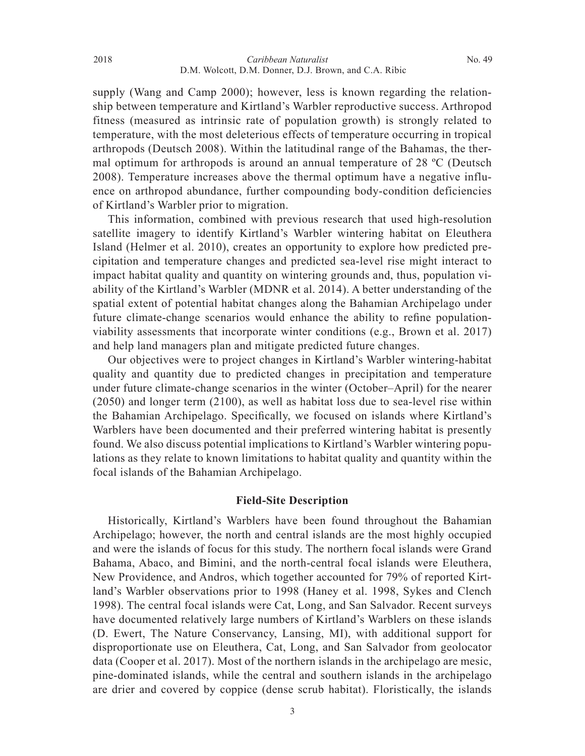supply (Wang and Camp 2000); however, less is known regarding the relationship between temperature and Kirtland's Warbler reproductive success. Arthropod fitness (measured as intrinsic rate of population growth) is strongly related to temperature, with the most deleterious effects of temperature occurring in tropical arthropods (Deutsch 2008). Within the latitudinal range of the Bahamas, the thermal optimum for arthropods is around an annual temperature of 28 ºC (Deutsch 2008). Temperature increases above the thermal optimum have a negative influence on arthropod abundance, further compounding body-condition deficiencies of Kirtland's Warbler prior to migration.

 This information, combined with previous research that used high-resolution satellite imagery to identify Kirtland's Warbler wintering habitat on Eleuthera Island (Helmer et al. 2010), creates an opportunity to explore how predicted precipitation and temperature changes and predicted sea-level rise might interact to impact habitat quality and quantity on wintering grounds and, thus, population viability of the Kirtland's Warbler (MDNR et al. 2014). A better understanding of the spatial extent of potential habitat changes along the Bahamian Archipelago under future climate-change scenarios would enhance the ability to refine populationviability assessments that incorporate winter conditions (e.g., Brown et al. 2017) and help land managers plan and mitigate predicted future changes.

 Our objectives were to project changes in Kirtland's Warbler wintering-habitat quality and quantity due to predicted changes in precipitation and temperature under future climate-change scenarios in the winter (October–April) for the nearer (2050) and longer term (2100), as well as habitat loss due to sea-level rise within the Bahamian Archipelago. Specifically, we focused on islands where Kirtland's Warblers have been documented and their preferred wintering habitat is presently found. We also discuss potential implications to Kirtland's Warbler wintering populations as they relate to known limitations to habitat quality and quantity within the focal islands of the Bahamian Archipelago.

# **Field-Site Description**

Historically, Kirtland's Warblers have been found throughout the Bahamian Archipelago; however, the north and central islands are the most highly occupied and were the islands of focus for this study. The northern focal islands were Grand Bahama, Abaco, and Bimini, and the north-central focal islands were Eleuthera, New Providence, and Andros, which together accounted for 79% of reported Kirtland's Warbler observations prior to 1998 (Haney et al. 1998, Sykes and Clench 1998). The central focal islands were Cat, Long, and San Salvador. Recent surveys have documented relatively large numbers of Kirtland's Warblers on these islands (D. Ewert, The Nature Conservancy, Lansing, MI), with additional support for disproportionate use on Eleuthera, Cat, Long, and San Salvador from geolocator data (Cooper et al. 2017). Most of the northern islands in the archipelago are mesic, pine-dominated islands, while the central and southern islands in the archipelago are drier and covered by coppice (dense scrub habitat). Floristically, the islands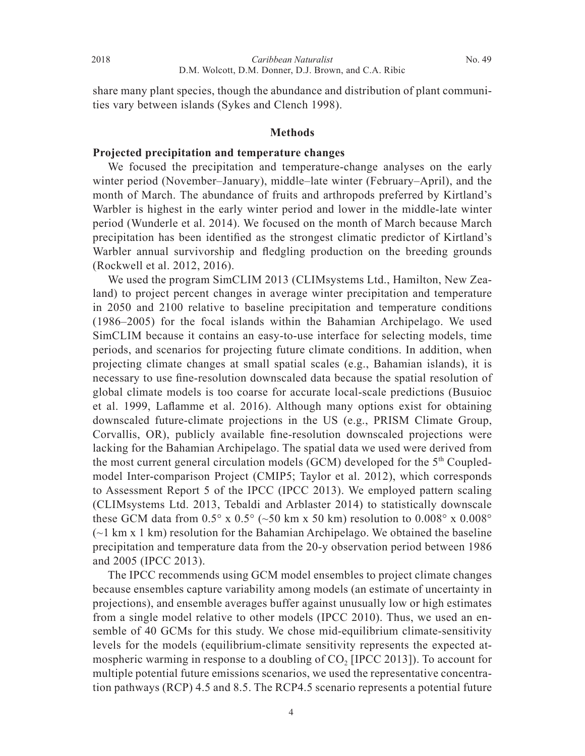share many plant species, though the abundance and distribution of plant communities vary between islands (Sykes and Clench 1998).

#### **Methods**

## **Projected precipitation and temperature changes**

 We focused the precipitation and temperature-change analyses on the early winter period (November–January), middle–late winter (February–April), and the month of March. The abundance of fruits and arthropods preferred by Kirtland's Warbler is highest in the early winter period and lower in the middle-late winter period (Wunderle et al. 2014). We focused on the month of March because March precipitation has been identified as the strongest climatic predictor of Kirtland's Warbler annual survivorship and fledgling production on the breeding grounds (Rockwell et al. 2012, 2016).

 We used the program SimCLIM 2013 (CLIMsystems Ltd., Hamilton, New Zealand) to project percent changes in average winter precipitation and temperature in 2050 and 2100 relative to baseline precipitation and temperature conditions (1986–2005) for the focal islands within the Bahamian Archipelago. We used SimCLIM because it contains an easy-to-use interface for selecting models, time periods, and scenarios for projecting future climate conditions. In addition, when projecting climate changes at small spatial scales (e.g., Bahamian islands), it is necessary to use fine-resolution downscaled data because the spatial resolution of global climate models is too coarse for accurate local-scale predictions (Busuioc et al. 1999, Laflamme et al. 2016). Although many options exist for obtaining downscaled future-climate projections in the US (e.g., PRISM Climate Group, Corvallis, OR), publicly available fine-resolution downscaled projections were lacking for the Bahamian Archipelago. The spatial data we used were derived from the most current general circulation models (GCM) developed for the  $5<sup>th</sup>$  Coupledmodel Inter-comparison Project (CMIP5; Taylor et al. 2012), which corresponds to Assessment Report 5 of the IPCC (IPCC 2013). We employed pattern scaling (CLIMsystems Ltd. 2013, Tebaldi and Arblaster 2014) to statistically downscale these GCM data from  $0.5^{\circ}$  x  $0.5^{\circ}$  (~50 km x 50 km) resolution to  $0.008^{\circ}$  x  $0.008^{\circ}$  $(\sim)$  km x 1 km) resolution for the Bahamian Archipelago. We obtained the baseline precipitation and temperature data from the 20-y observation period between 1986 and 2005 (IPCC 2013).

 The IPCC recommends using GCM model ensembles to project climate changes because ensembles capture variability among models (an estimate of uncertainty in projections), and ensemble averages buffer against unusually low or high estimates from a single model relative to other models (IPCC 2010). Thus, we used an ensemble of 40 GCMs for this study. We chose mid-equilibrium climate-sensitivity levels for the models (equilibrium-climate sensitivity represents the expected atmospheric warming in response to a doubling of  $CO<sub>2</sub>$  [IPCC 2013]). To account for multiple potential future emissions scenarios, we used the representative concentration pathways (RCP) 4.5 and 8.5. The RCP4.5 scenario represents a potential future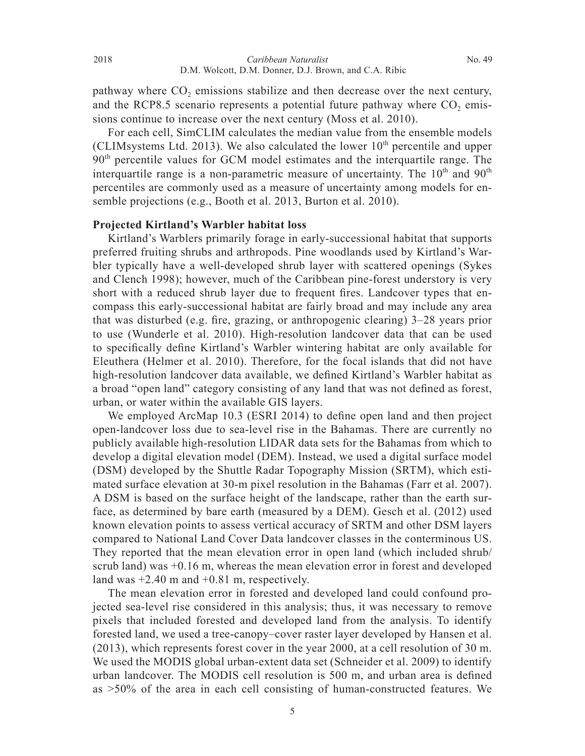pathway where  $CO<sub>2</sub>$  emissions stabilize and then decrease over the next century, and the RCP8.5 scenario represents a potential future pathway where  $CO<sub>2</sub>$  emissions continue to increase over the next century (Moss et al. 2010).

 For each cell, SimCLIM calculates the median value from the ensemble models (CLIMsystems Ltd. 2013). We also calculated the lower  $10<sup>th</sup>$  percentile and upper 90<sup>th</sup> percentile values for GCM model estimates and the interquartile range. The interquartile range is a non-parametric measure of uncertainty. The  $10<sup>th</sup>$  and  $90<sup>th</sup>$ percentiles are commonly used as a measure of uncertainty among models for ensemble projections (e.g., Booth et al. 2013, Burton et al. 2010).

#### **Projected Kirtland's Warbler habitat loss**

Kirtland's Warblers primarily forage in early-successional habitat that supports preferred fruiting shrubs and arthropods. Pine woodlands used by Kirtland's Warbler typically have a well-developed shrub layer with scattered openings (Sykes and Clench 1998); however, much of the Caribbean pine-forest understory is very short with a reduced shrub layer due to frequent fires. Landcover types that encompass this early-successional habitat are fairly broad and may include any area that was disturbed (e.g. fire, grazing, or anthropogenic clearing)  $3-28$  years prior to use (Wunderle et al. 2010). High-resolution landcover data that can be used to specifically define Kirtland's Warbler wintering habitat are only available for Eleuthera (Helmer et al. 2010). Therefore, for the focal islands that did not have high-resolution landcover data available, we defined Kirtland's Warbler habitat as a broad "open land" category consisting of any land that was not defined as forest, urban, or water within the available GIS layers.

We employed  $ArcMap$  10.3 (ESRI 2014) to define open land and then project open-landcover loss due to sea-level rise in the Bahamas. There are currently no publicly available high-resolution LIDAR data sets for the Bahamas from which to develop a digital elevation model (DEM). Instead, we used a digital surface model (DSM) developed by the Shuttle Radar Topography Mission (SRTM), which estimated surface elevation at 30-m pixel resolution in the Bahamas (Farr et al. 2007). A DSM is based on the surface height of the landscape, rather than the earth surface, as determined by bare earth (measured by a DEM). Gesch et al. (2012) used known elevation points to assess vertical accuracy of SRTM and other DSM layers compared to National Land Cover Data landcover classes in the conterminous US. They reported that the mean elevation error in open land (which included shrub/ scrub land) was +0.16 m, whereas the mean elevation error in forest and developed land was  $+2.40$  m and  $+0.81$  m, respectively.

 The mean elevation error in forested and developed land could confound projected sea-level rise considered in this analysis; thus, it was necessary to remove pixels that included forested and developed land from the analysis. To identify forested land, we used a tree-canopy–cover raster layer developed by Hansen et al. (2013), which represents forest cover in the year 2000, at a cell resolution of 30 m. We used the MODIS global urban-extent data set (Schneider et al. 2009) to identify urban landcover. The MODIS cell resolution is 500 m, and urban area is defined as >50% of the area in each cell consisting of human-constructed features. We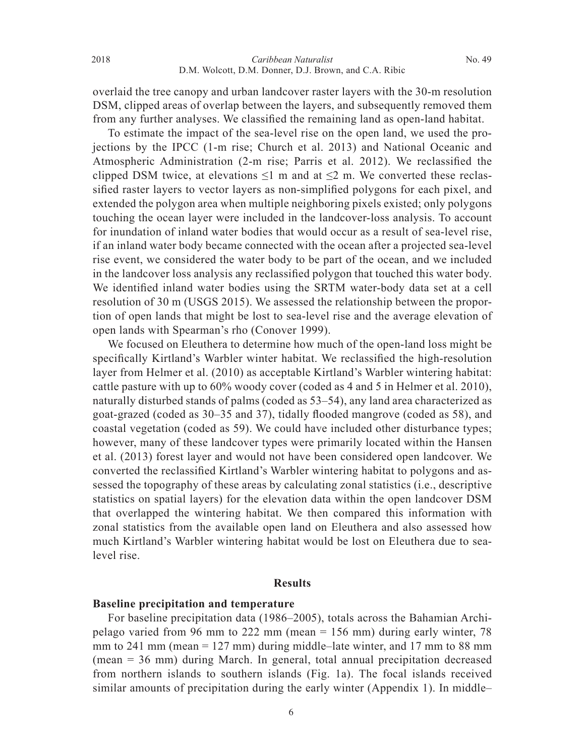overlaid the tree canopy and urban landcover raster layers with the 30-m resolution DSM, clipped areas of overlap between the layers, and subsequently removed them from any further analyses. We classified the remaining land as open-land habitat.

 To estimate the impact of the sea-level rise on the open land, we used the projections by the IPCC (1-m rise; Church et al. 2013) and National Oceanic and Atmospheric Administration (2-m rise; Parris et al. 2012). We reclassified the clipped DSM twice, at elevations  $\leq 1$  m and at  $\leq 2$  m. We converted these reclassified raster layers to vector layers as non-simplified polygons for each pixel, and extended the polygon area when multiple neighboring pixels existed; only polygons touching the ocean layer were included in the landcover-loss analysis. To account for inundation of inland water bodies that would occur as a result of sea-level rise, if an inland water body became connected with the ocean after a projected sea-level rise event, we considered the water body to be part of the ocean, and we included in the landcover loss analysis any reclassified polygon that touched this water body. We identified inland water bodies using the SRTM water-body data set at a cell resolution of 30 m (USGS 2015). We assessed the relationship between the proportion of open lands that might be lost to sea-level rise and the average elevation of open lands with Spearman's rho (Conover 1999).

 We focused on Eleuthera to determine how much of the open-land loss might be specifically Kirtland's Warbler winter habitat. We reclassified the high-resolution layer from Helmer et al. (2010) as acceptable Kirtland's Warbler wintering habitat: cattle pasture with up to 60% woody cover (coded as 4 and 5 in Helmer et al. 2010), naturally disturbed stands of palms (coded as 53–54), any land area characterized as goat-grazed (coded as 30–35 and 37), tidally flooded mangrove (coded as 58), and coastal vegetation (coded as 59). We could have included other disturbance types; however, many of these landcover types were primarily located within the Hansen et al. (2013) forest layer and would not have been considered open landcover. We converted the reclassified Kirtland's Warbler wintering habitat to polygons and assessed the topography of these areas by calculating zonal statistics (i.e., descriptive statistics on spatial layers) for the elevation data within the open landcover DSM that overlapped the wintering habitat. We then compared this information with zonal statistics from the available open land on Eleuthera and also assessed how much Kirtland's Warbler wintering habitat would be lost on Eleuthera due to sealevel rise.

### **Results**

# **Baseline precipitation and temperature**

 For baseline precipitation data (1986–2005), totals across the Bahamian Archipelago varied from 96 mm to 222 mm (mean = 156 mm) during early winter, 78 mm to 241 mm (mean  $= 127$  mm) during middle–late winter, and 17 mm to 88 mm (mean = 36 mm) during March. In general, total annual precipitation decreased from northern islands to southern islands (Fig. 1a). The focal islands received similar amounts of precipitation during the early winter (Appendix 1). In middle–

6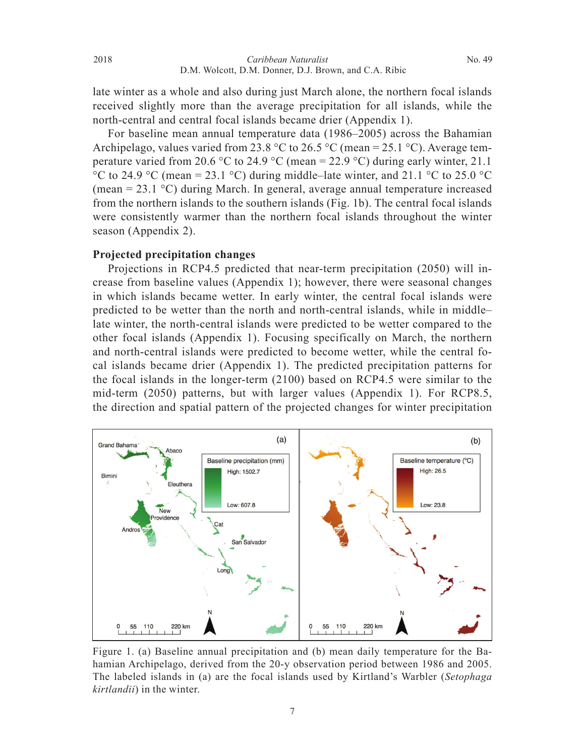late winter as a whole and also during just March alone, the northern focal islands received slightly more than the average precipitation for all islands, while the north-central and central focal islands became drier (Appendix 1).

 For baseline mean annual temperature data (1986–2005) across the Bahamian Archipelago, values varied from 23.8 °C to 26.5 °C (mean = 25.1 °C). Average temperature varied from 20.6 °C to 24.9 °C (mean = 22.9 °C) during early winter, 21.1 °C to 24.9 °C (mean = 23.1 °C) during middle–late winter, and 21.1 °C to 25.0 °C (mean = 23.1 °C) during March. In general, average annual temperature increased from the northern islands to the southern islands (Fig. 1b). The central focal islands were consistently warmer than the northern focal islands throughout the winter season (Appendix 2).

### **Projected precipitation changes**

 Projections in RCP4.5 predicted that near-term precipitation (2050) will increase from baseline values (Appendix 1); however, there were seasonal changes in which islands became wetter. In early winter, the central focal islands were predicted to be wetter than the north and north-central islands, while in middle– late winter, the north-central islands were predicted to be wetter compared to the other focal islands (Appendix 1). Focusing specifically on March, the northern and north-central islands were predicted to become wetter, while the central focal islands became drier (Appendix 1). The predicted precipitation patterns for the focal islands in the longer-term (2100) based on RCP4.5 were similar to the mid-term (2050) patterns, but with larger values (Appendix 1). For RCP8.5, the direction and spatial pattern of the projected changes for winter precipitation



Figure 1. (a) Baseline annual precipitation and (b) mean daily temperature for the Bahamian Archipelago, derived from the 20-y observation period between 1986 and 2005. The labeled islands in (a) are the focal islands used by Kirtland's Warbler (*Setophaga kirtlandii*) in the winter.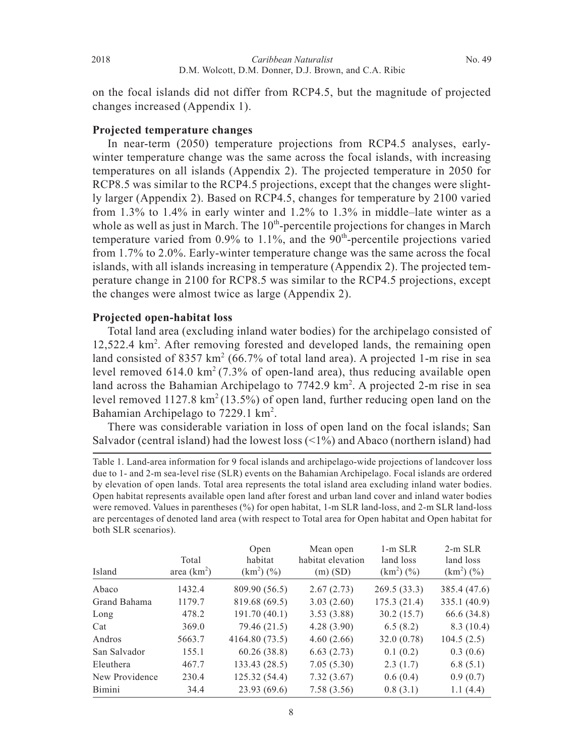on the focal islands did not differ from RCP4.5, but the magnitude of projected changes increased (Appendix 1).

### **Projected temperature changes**

 In near-term (2050) temperature projections from RCP4.5 analyses, earlywinter temperature change was the same across the focal islands, with increasing temperatures on all islands (Appendix 2). The projected temperature in 2050 for RCP8.5 was similar to the RCP4.5 projections, except that the changes were slightly larger (Appendix 2). Based on RCP4.5, changes for temperature by 2100 varied from 1.3% to 1.4% in early winter and 1.2% to 1.3% in middle–late winter as a whole as well as just in March. The  $10<sup>th</sup>$ -percentile projections for changes in March temperature varied from  $0.9\%$  to  $1.1\%$ , and the  $90<sup>th</sup>$ -percentile projections varied from 1.7% to 2.0%. Early-winter temperature change was the same across the focal islands, with all islands increasing in temperature (Appendix 2). The projected temperature change in 2100 for RCP8.5 was similar to the RCP4.5 projections, except the changes were almost twice as large (Appendix 2).

# **Projected open-habitat loss**

 Total land area (excluding inland water bodies) for the archipelago consisted of 12,522.4 km2 . After removing forested and developed lands, the remaining open land consisted of 8357  $km^2$  (66.7% of total land area). A projected 1-m rise in sea level removed  $614.0 \text{ km}^2$  (7.3% of open-land area), thus reducing available open land across the Bahamian Archipelago to 7742.9 km<sup>2</sup>. A projected 2-m rise in sea level removed  $1127.8 \text{ km}^2 (13.5\%)$  of open land, further reducing open land on the Bahamian Archipelago to 7229.1 km<sup>2</sup>.

 There was considerable variation in loss of open land on the focal islands; San Salvador (central island) had the lowest loss  $\left( \langle 1\% \rangle \right)$  and Abaco (northern island) had

Table 1. Land-area information for 9 focal islands and archipelago-wide projections of landcover loss due to 1- and 2-m sea-level rise (SLR) events on the Bahamian Archipelago. Focal islands are ordered by elevation of open lands. Total area represents the total island area excluding inland water bodies. Open habitat represents available open land after forest and urban land cover and inland water bodies were removed. Values in parentheses (%) for open habitat, 1-m SLR land-loss, and 2-m SLR land-loss are percentages of denoted land area (with respect to Total area for Open habitat and Open habitat for both SLR scenarios).

| Island         | Total<br>area $(km2)$ | Open<br>habitat<br>$(km^2)(\%)$ | Mean open<br>habitat elevation<br>$(m)$ (SD) | $1-m$ SLR<br>land loss<br>$(km^2)(\%)$ | $2-m$ SLR<br>land loss<br>$(km^2)(\%)$ |
|----------------|-----------------------|---------------------------------|----------------------------------------------|----------------------------------------|----------------------------------------|
| Abaco          | 1432.4                | 809.90 (56.5)                   | 2.67(2.73)                                   | 269.5(33.3)                            | 385.4 (47.6)                           |
| Grand Bahama   | 1179.7                | 819.68 (69.5)                   | 3.03(2.60)                                   | 175.3(21.4)                            | 335.1 (40.9)                           |
| Long           | 478.2                 | 191.70(40.1)                    | 3.53(3.88)                                   | 30.2(15.7)                             | 66.6 (34.8)                            |
| Cat            | 369.0                 | 79.46 (21.5)                    | 4.28(3.90)                                   | 6.5(8.2)                               | 8.3(10.4)                              |
| Andros         | 5663.7                | 4164.80 (73.5)                  | 4.60(2.66)                                   | 32.0(0.78)                             | 104.5(2.5)                             |
| San Salvador   | 155.1                 | 60.26(38.8)                     | 6.63(2.73)                                   | 0.1(0.2)                               | 0.3(0.6)                               |
| Eleuthera      | 467.7                 | 133.43 (28.5)                   | 7.05(5.30)                                   | 2.3(1.7)                               | 6.8(5.1)                               |
| New Providence | 230.4                 | 125.32 (54.4)                   | 7.32(3.67)                                   | 0.6(0.4)                               | 0.9(0.7)                               |
| Bimini         | 34.4                  | 23.93 (69.6)                    | 7.58(3.56)                                   | 0.8(3.1)                               | 1.1(4.4)                               |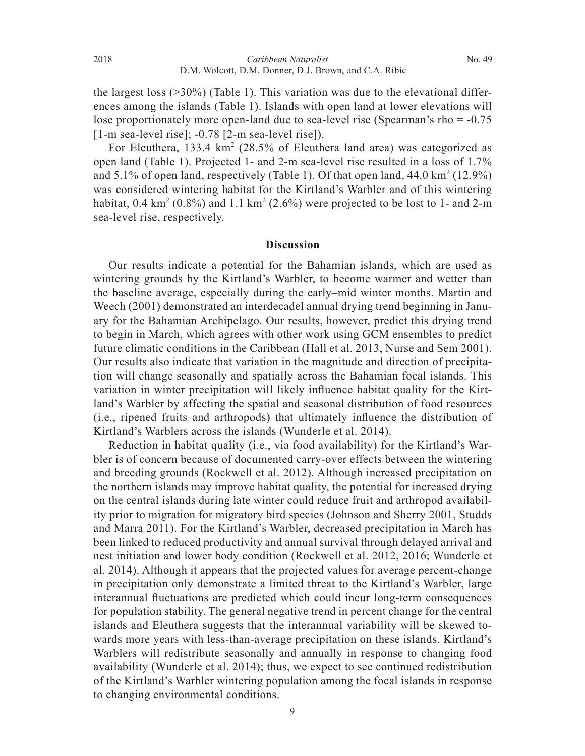the largest loss  $(>=30\%)$  (Table 1). This variation was due to the elevational differences among the islands (Table 1). Islands with open land at lower elevations will lose proportionately more open-land due to sea-level rise (Spearman's rho = -0.75 [1-m sea-level rise]; -0.78 [2-m sea-level rise]).

For Eleuthera, 133.4 km<sup>2</sup> (28.5% of Eleuthera land area) was categorized as open land (Table 1). Projected 1- and 2-m sea-level rise resulted in a loss of 1.7% and 5.1% of open land, respectively (Table 1). Of that open land,  $44.0 \text{ km}^2$  (12.9%) was considered wintering habitat for the Kirtland's Warbler and of this wintering habitat,  $0.4 \text{ km}^2$  ( $0.8\%$ ) and  $1.1 \text{ km}^2$  ( $2.6\%$ ) were projected to be lost to 1- and  $2\text{-m}$ sea-level rise, respectively.

#### **Discussion**

 Our results indicate a potential for the Bahamian islands, which are used as wintering grounds by the Kirtland's Warbler, to become warmer and wetter than the baseline average, especially during the early–mid winter months. Martin and Weech (2001) demonstrated an interdecadel annual drying trend beginning in January for the Bahamian Archipelago. Our results, however, predict this drying trend to begin in March, which agrees with other work using GCM ensembles to predict future climatic conditions in the Caribbean (Hall et al. 2013, Nurse and Sem 2001). Our results also indicate that variation in the magnitude and direction of precipitation will change seasonally and spatially across the Bahamian focal islands. This variation in winter precipitation will likely influence habitat quality for the  $\text{Kirt-}$ land's Warbler by affecting the spatial and seasonal distribution of food resources  $(i.e.,$  ripened fruits and arthropods) that ultimately influence the distribution of Kirtland's Warblers across the islands (Wunderle et al. 2014).

 Reduction in habitat quality (i.e., via food availability) for the Kirtland's Warbler is of concern because of documented carry-over effects between the wintering and breeding grounds (Rockwell et al. 2012). Although increased precipitation on the northern islands may improve habitat quality, the potential for increased drying on the central islands during late winter could reduce fruit and arthropod availability prior to migration for migratory bird species (Johnson and Sherry 2001, Studds and Marra 2011). For the Kirtland's Warbler, decreased precipitation in March has been linked to reduced productivity and annual survival through delayed arrival and nest initiation and lower body condition (Rockwell et al. 2012, 2016; Wunderle et al. 2014). Although it appears that the projected values for average percent-change in precipitation only demonstrate a limited threat to the Kirtland's Warbler, large interannual fluctuations are predicted which could incur long-term consequences for population stability. The general negative trend in percent change for the central islands and Eleuthera suggests that the interannual variability will be skewed towards more years with less-than-average precipitation on these islands. Kirtland's Warblers will redistribute seasonally and annually in response to changing food availability (Wunderle et al. 2014); thus, we expect to see continued redistribution of the Kirtland's Warbler wintering population among the focal islands in response to changing environmental conditions.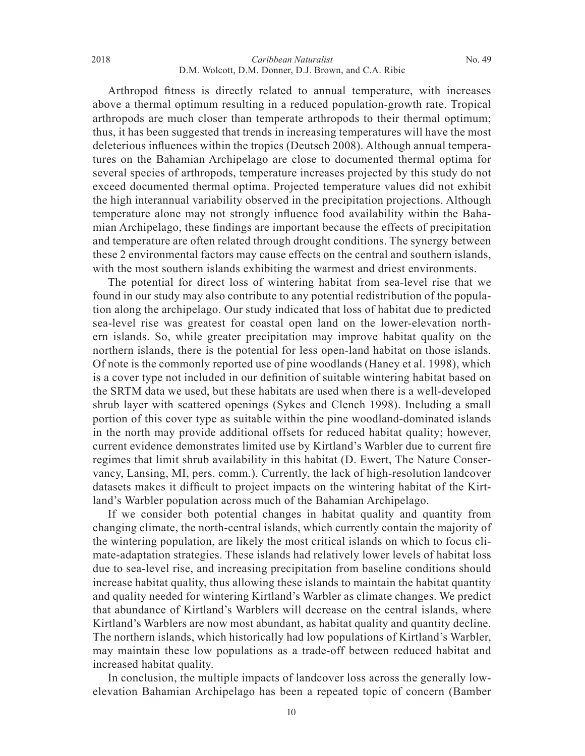Arthropod fitness is directly related to annual temperature, with increases above a thermal optimum resulting in a reduced population-growth rate. Tropical arthropods are much closer than temperate arthropods to their thermal optimum; thus, it has been suggested that trends in increasing temperatures will have the most deleterious influences within the tropics (Deutsch 2008). Although annual temperatures on the Bahamian Archipelago are close to documented thermal optima for several species of arthropods, temperature increases projected by this study do not exceed documented thermal optima. Projected temperature values did not exhibit the high interannual variability observed in the precipitation projections. Although temperature alone may not strongly influence food availability within the Bahamian Archipelago, these findings are important because the effects of precipitation and temperature are often related through drought conditions. The synergy between these 2 environmental factors may cause effects on the central and southern islands, with the most southern islands exhibiting the warmest and driest environments.

 The potential for direct loss of wintering habitat from sea-level rise that we found in our study may also contribute to any potential redistribution of the population along the archipelago. Our study indicated that loss of habitat due to predicted sea-level rise was greatest for coastal open land on the lower-elevation northern islands. So, while greater precipitation may improve habitat quality on the northern islands, there is the potential for less open-land habitat on those islands. Of note is the commonly reported use of pine woodlands (Haney et al. 1998), which is a cover type not included in our definition of suitable wintering habitat based on the SRTM data we used, but these habitats are used when there is a well-developed shrub layer with scattered openings (Sykes and Clench 1998). Including a small portion of this cover type as suitable within the pine woodland-dominated islands in the north may provide additional offsets for reduced habitat quality; however, current evidence demonstrates limited use by Kirtland's Warbler due to current fire regimes that limit shrub availability in this habitat (D. Ewert, The Nature Conservancy, Lansing, MI, pers. comm.). Currently, the lack of high-resolution landcover datasets makes it difficult to project impacts on the wintering habitat of the Kirtland's Warbler population across much of the Bahamian Archipelago.

 If we consider both potential changes in habitat quality and quantity from changing climate, the north-central islands, which currently contain the majority of the wintering population, are likely the most critical islands on which to focus climate-adaptation strategies. These islands had relatively lower levels of habitat loss due to sea-level rise, and increasing precipitation from baseline conditions should increase habitat quality, thus allowing these islands to maintain the habitat quantity and quality needed for wintering Kirtland's Warbler as climate changes. We predict that abundance of Kirtland's Warblers will decrease on the central islands, where Kirtland's Warblers are now most abundant, as habitat quality and quantity decline. The northern islands, which historically had low populations of Kirtland's Warbler, may maintain these low populations as a trade-off between reduced habitat and increased habitat quality.

 In conclusion, the multiple impacts of landcover loss across the generally lowelevation Bahamian Archipelago has been a repeated topic of concern (Bamber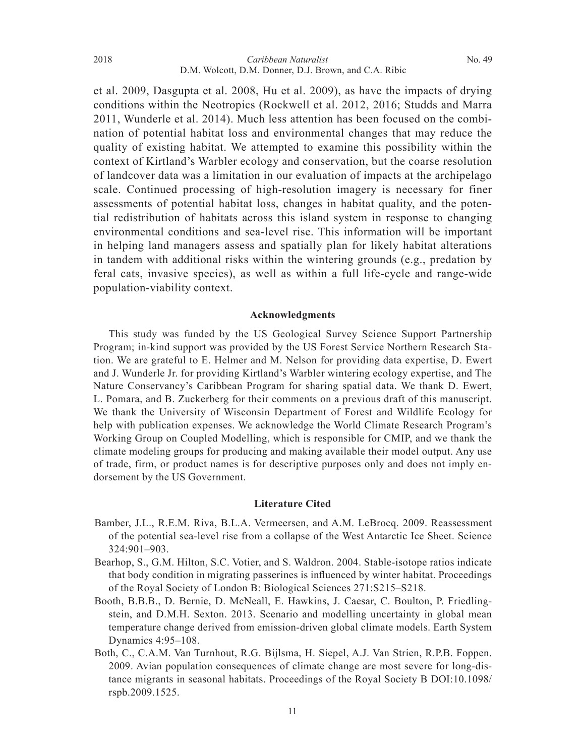et al. 2009, Dasgupta et al. 2008, Hu et al. 2009), as have the impacts of drying conditions within the Neotropics (Rockwell et al. 2012, 2016; Studds and Marra 2011, Wunderle et al. 2014). Much less attention has been focused on the combination of potential habitat loss and environmental changes that may reduce the quality of existing habitat. We attempted to examine this possibility within the context of Kirtland's Warbler ecology and conservation, but the coarse resolution of landcover data was a limitation in our evaluation of impacts at the archipelago scale. Continued processing of high-resolution imagery is necessary for finer assessments of potential habitat loss, changes in habitat quality, and the potential redistribution of habitats across this island system in response to changing environmental conditions and sea-level rise. This information will be important in helping land managers assess and spatially plan for likely habitat alterations in tandem with additional risks within the wintering grounds (e.g., predation by feral cats, invasive species), as well as within a full life-cycle and range-wide population-viability context.

### **Acknowledgments**

 This study was funded by the US Geological Survey Science Support Partnership Program; in-kind support was provided by the US Forest Service Northern Research Station. We are grateful to E. Helmer and M. Nelson for providing data expertise, D. Ewert and J. Wunderle Jr. for providing Kirtland's Warbler wintering ecology expertise, and The Nature Conservancy's Caribbean Program for sharing spatial data. We thank D. Ewert, L. Pomara, and B. Zuckerberg for their comments on a previous draft of this manuscript. We thank the University of Wisconsin Department of Forest and Wildlife Ecology for help with publication expenses. We acknowledge the World Climate Research Program's Working Group on Coupled Modelling, which is responsible for CMIP, and we thank the climate modeling groups for producing and making available their model output. Any use of trade, firm, or product names is for descriptive purposes only and does not imply endorsement by the US Government.

#### **Literature Cited**

- Bamber, J.L., R.E.M. Riva, B.L.A. Vermeersen, and A.M. LeBrocq. 2009. Reassessment of the potential sea-level rise from a collapse of the West Antarctic Ice Sheet. Science 324:901–903.
- Bearhop, S., G.M. Hilton, S.C. Votier, and S. Waldron. 2004. Stable-isotope ratios indicate that body condition in migrating passerines is influenced by winter habitat. Proceedings of the Royal Society of London B: Biological Sciences 271:S215–S218.
- Booth, B.B.B., D. Bernie, D. McNeall, E. Hawkins, J. Caesar, C. Boulton, P. Friedlingstein, and D.M.H. Sexton. 2013. Scenario and modelling uncertainty in global mean temperature change derived from emission-driven global climate models. Earth System Dynamics 4:95–108.
- Both, C., C.A.M. Van Turnhout, R.G. Bijlsma, H. Siepel, A.J. Van Strien, R.P.B. Foppen. 2009. Avian population consequences of climate change are most severe for long-distance migrants in seasonal habitats. Proceedings of the Royal Society B DOI:10.1098/ rspb.2009.1525.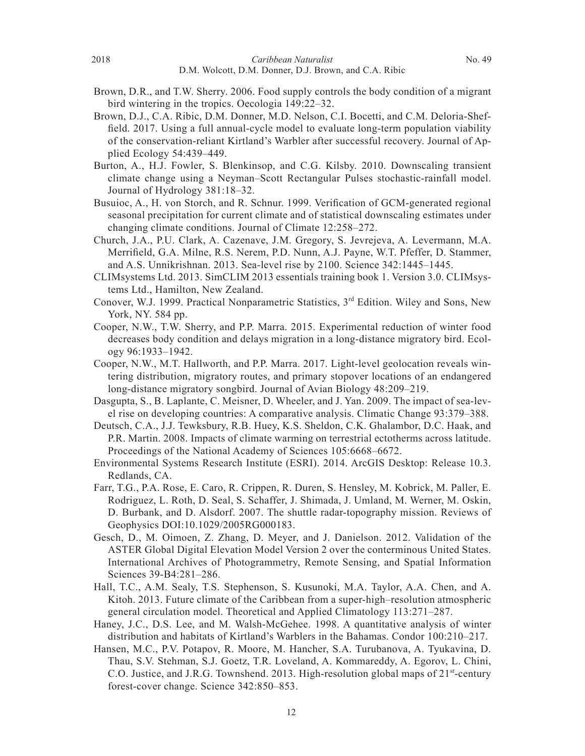- Brown, D.R., and T.W. Sherry. 2006. Food supply controls the body condition of a migrant bird wintering in the tropics. Oecologia 149:22–32.
- Brown, D.J., C.A. Ribic, D.M. Donner, M.D. Nelson, C.I. Bocetti, and C.M. Deloria-Sheffield.  $2017$ . Using a full annual-cycle model to evaluate long-term population viability of the conservation-reliant Kirtland's Warbler after successful recovery. Journal of Applied Ecology 54:439–449.
- Burton, A., H.J. Fowler, S. Blenkinsop, and C.G. Kilsby. 2010. Downscaling transient climate change using a Neyman–Scott Rectangular Pulses stochastic-rainfall model. Journal of Hydrology 381:18–32.
- Busuioc, A., H. von Storch, and R. Schnur. 1999. Verification of GCM-generated regional seasonal precipitation for current climate and of statistical downscaling estimates under changing climate conditions. Journal of Climate 12:258–272.
- Church, J.A., P.U. Clark, A. Cazenave, J.M. Gregory, S. Jevrejeva, A. Levermann, M.A. Merrifield, G.A. Milne, R.S. Nerem, P.D. Nunn, A.J. Payne, W.T. Pfeffer, D. Stammer, and A.S. Unnikrishnan. 2013. Sea-level rise by 2100. Science 342:1445–1445.
- CLIMsystems Ltd. 2013. SimCLIM 2013 essentials training book 1. Version 3.0. CLIMsystems Ltd., Hamilton, New Zealand.
- Conover, W.J. 1999. Practical Nonparametric Statistics, 3<sup>rd</sup> Edition. Wiley and Sons, New York, NY. 584 pp.
- Cooper, N.W., T.W. Sherry, and P.P. Marra. 2015. Experimental reduction of winter food decreases body condition and delays migration in a long-distance migratory bird. Ecology 96:1933–1942.
- Cooper, N.W., M.T. Hallworth, and P.P. Marra. 2017. Light-level geolocation reveals wintering distribution, migratory routes, and primary stopover locations of an endangered long-distance migratory songbird. Journal of Avian Biology 48:209–219.
- Dasgupta, S., B. Laplante, C. Meisner, D. Wheeler, and J. Yan. 2009. The impact of sea-level rise on developing countries: A comparative analysis. Climatic Change 93:379–388.
- Deutsch, C.A., J.J. Tewksbury, R.B. Huey, K.S. Sheldon, C.K. Ghalambor, D.C. Haak, and P.R. Martin. 2008. Impacts of climate warming on terrestrial ectotherms across latitude. Proceedings of the National Academy of Sciences 105:6668–6672.
- Environmental Systems Research Institute (ESRI). 2014. ArcGIS Desktop: Release 10.3. Redlands, CA.
- Farr, T.G., P.A. Rose, E. Caro, R. Crippen, R. Duren, S. Hensley, M. Kobrick, M. Paller, E. Rodriguez, L. Roth, D. Seal, S. Schaffer, J. Shimada, J. Umland, M. Werner, M. Oskin, D. Burbank, and D. Alsdorf. 2007. The shuttle radar-topography mission. Reviews of Geophysics DOI:10.1029/2005RG000183.
- Gesch, D., M. Oimoen, Z. Zhang, D. Meyer, and J. Danielson. 2012. Validation of the ASTER Global Digital Elevation Model Version 2 over the conterminous United States. International Archives of Photogrammetry, Remote Sensing, and Spatial Information Sciences 39-B4:281–286.
- Hall, T.C., A.M. Sealy, T.S. Stephenson, S. Kusunoki, M.A. Taylor, A.A. Chen, and A. Kitoh. 2013. Future climate of the Caribbean from a super-high–resolution atmospheric general circulation model. Theoretical and Applied Climatology 113:271–287.
- Haney, J.C., D.S. Lee, and M. Walsh-McGehee. 1998. A quantitative analysis of winter distribution and habitats of Kirtland's Warblers in the Bahamas. Condor 100:210–217.
- Hansen, M.C., P.V. Potapov, R. Moore, M. Hancher, S.A. Turubanova, A. Tyukavina, D. Thau, S.V. Stehman, S.J. Goetz, T.R. Loveland, A. Kommareddy, A. Egorov, L. Chini, C.O. Justice, and J.R.G. Townshend. 2013. High-resolution global maps of  $21^{st}$ -century forest-cover change. Science 342:850–853.

12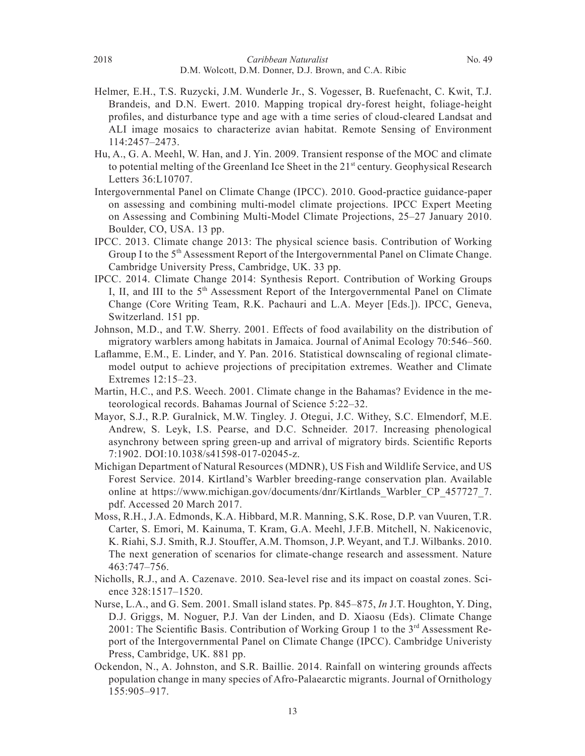- Helmer, E.H., T.S. Ruzycki, J.M. Wunderle Jr., S. Vogesser, B. Ruefenacht, C. Kwit, T.J. Brandeis, and D.N. Ewert. 2010. Mapping tropical dry-forest height, foliage-height profiles, and disturbance type and age with a time series of cloud-cleared Landsat and ALI image mosaics to characterize avian habitat. Remote Sensing of Environment 114:2457–2473.
- Hu, A., G. A. Meehl, W. Han, and J. Yin. 2009. Transient response of the MOC and climate to potential melting of the Greenland Ice Sheet in the  $21<sup>st</sup>$  century. Geophysical Research Letters 36:L10707.
- Intergovernmental Panel on Climate Change (IPCC). 2010. Good-practice guidance-paper on assessing and combining multi-model climate projections. IPCC Expert Meeting on Assessing and Combining Multi-Model Climate Projections, 25–27 January 2010. Boulder, CO, USA. 13 pp.
- IPCC. 2013. Climate change 2013: The physical science basis. Contribution of Working Group I to the 5<sup>th</sup> Assessment Report of the Intergovernmental Panel on Climate Change. Cambridge University Press, Cambridge, UK. 33 pp.
- IPCC. 2014. Climate Change 2014: Synthesis Report. Contribution of Working Groups I, II, and III to the 5<sup>th</sup> Assessment Report of the Intergovernmental Panel on Climate Change (Core Writing Team, R.K. Pachauri and L.A. Meyer [Eds.]). IPCC, Geneva, Switzerland. 151 pp.
- Johnson, M.D., and T.W. Sherry. 2001. Effects of food availability on the distribution of migratory warblers among habitats in Jamaica. Journal of Animal Ecology 70:546–560.
- Laflamme, E.M., E. Linder, and Y. Pan. 2016. Statistical downscaling of regional climatemodel output to achieve projections of precipitation extremes. Weather and Climate Extremes 12:15–23.
- Martin, H.C., and P.S. Weech. 2001. Climate change in the Bahamas? Evidence in the meteorological records. Bahamas Journal of Science 5:22–32.
- Mayor, S.J., R.P. Guralnick, M.W. Tingley. J. Otegui, J.C. Withey, S.C. Elmendorf, M.E. Andrew, S. Leyk, I.S. Pearse, and D.C. Schneider. 2017. Increasing phenological asynchrony between spring green-up and arrival of migratory birds. Scientific Reports 7:1902. DOI:10.1038/s41598-017-02045-z.
- Michigan Department of Natural Resources (MDNR), US Fish and Wildlife Service, and US Forest Service. 2014. Kirtland's Warbler breeding-range conservation plan. Available online at https://www.michigan.gov/documents/dnr/Kirtlands\_Warbler\_CP\_457727\_7. pdf. Accessed 20 March 2017.
- Moss, R.H., J.A. Edmonds, K.A. Hibbard, M.R. Manning, S.K. Rose, D.P. van Vuuren, T.R. Carter, S. Emori, M. Kainuma, T. Kram, G.A. Meehl, J.F.B. Mitchell, N. Nakicenovic, K. Riahi, S.J. Smith, R.J. Stouffer, A.M. Thomson, J.P. Weyant, and T.J. Wilbanks. 2010. The next generation of scenarios for climate-change research and assessment. Nature 463:747–756.
- Nicholls, R.J., and A. Cazenave. 2010. Sea-level rise and its impact on coastal zones. Science 328:1517–1520.
- Nurse, L.A., and G. Sem. 2001. Small island states. Pp. 845–875, *In* J.T. Houghton, Y. Ding, D.J. Griggs, M. Noguer, P.J. Van der Linden, and D. Xiaosu (Eds). Climate Change 2001: The Scientific Basis. Contribution of Working Group 1 to the  $3<sup>rd</sup>$  Assessment Report of the Intergovernmental Panel on Climate Change (IPCC). Cambridge Univeristy Press, Cambridge, UK. 881 pp.
- Ockendon, N., A. Johnston, and S.R. Baillie. 2014. Rainfall on wintering grounds affects population change in many species of Afro-Palaearctic migrants. Journal of Ornithology 155:905–917.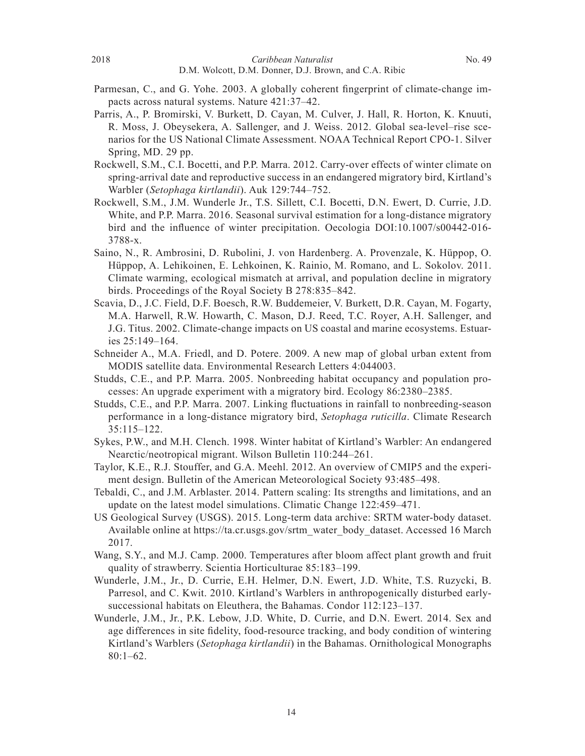- Parmesan, C., and G. Yohe. 2003. A globally coherent fingerprint of climate-change impacts across natural systems. Nature 421:37–42.
- Parris, A., P. Bromirski, V. Burkett, D. Cayan, M. Culver, J. Hall, R. Horton, K. Knuuti, R. Moss, J. Obeysekera, A. Sallenger, and J. Weiss. 2012. Global sea-level–rise scenarios for the US National Climate Assessment. NOAA Technical Report CPO-1. Silver Spring, MD. 29 pp.
- Rockwell, S.M., C.I. Bocetti, and P.P. Marra. 2012. Carry-over effects of winter climate on spring-arrival date and reproductive success in an endangered migratory bird, Kirtland's Warbler (*Setophaga kirtlandii*). Auk 129:744–752.
- Rockwell, S.M., J.M. Wunderle Jr., T.S. Sillett, C.I. Bocetti, D.N. Ewert, D. Currie, J.D. White, and P.P. Marra. 2016. Seasonal survival estimation for a long-distance migratory bird and the influence of winter precipitation. Oecologia  $DOI:10.1007/s00442-016-$ 3788-x.
- Saino, N., R. Ambrosini, D. Rubolini, J. von Hardenberg. A. Provenzale, K. Hüppop, O. Hüppop, A. Lehikoinen, E. Lehkoinen, K. Rainio, M. Romano, and L. Sokolov. 2011. Climate warming, ecological mismatch at arrival, and population decline in migratory birds. Proceedings of the Royal Society B 278:835–842.
- Scavia, D., J.C. Field, D.F. Boesch, R.W. Buddemeier, V. Burkett, D.R. Cayan, M. Fogarty, M.A. Harwell, R.W. Howarth, C. Mason, D.J. Reed, T.C. Royer, A.H. Sallenger, and J.G. Titus. 2002. Climate-change impacts on US coastal and marine ecosystems. Estuaries 25:149–164.
- Schneider A., M.A. Friedl, and D. Potere. 2009. A new map of global urban extent from MODIS satellite data. Environmental Research Letters 4:044003.
- Studds, C.E., and P.P. Marra. 2005. Nonbreeding habitat occupancy and population processes: An upgrade experiment with a migratory bird. Ecology 86:2380–2385.
- Studds, C.E., and P.P. Marra. 2007. Linking fluctuations in rainfall to nonbreeding-season performance in a long-distance migratory bird, *Setophaga ruticilla*. Climate Research 35:115–122.
- Sykes, P.W., and M.H. Clench. 1998. Winter habitat of Kirtland's Warbler: An endangered Nearctic/neotropical migrant. Wilson Bulletin 110:244–261.
- Taylor, K.E., R.J. Stouffer, and G.A. Meehl. 2012. An overview of CMIP5 and the experiment design. Bulletin of the American Meteorological Society 93:485–498.
- Tebaldi, C., and J.M. Arblaster. 2014. Pattern scaling: Its strengths and limitations, and an update on the latest model simulations. Climatic Change 122:459–471.
- US Geological Survey (USGS). 2015. Long-term data archive: SRTM water-body dataset. Available online at https://ta.cr.usgs.gov/srtm\_water\_body\_dataset. Accessed 16 March 2017.
- Wang, S.Y., and M.J. Camp. 2000. Temperatures after bloom affect plant growth and fruit quality of strawberry. Scientia Horticulturae 85:183–199.
- Wunderle, J.M., Jr., D. Currie, E.H. Helmer, D.N. Ewert, J.D. White, T.S. Ruzycki, B. Parresol, and C. Kwit. 2010. Kirtland's Warblers in anthropogenically disturbed earlysuccessional habitats on Eleuthera, the Bahamas. Condor 112:123–137.
- Wunderle, J.M., Jr., P.K. Lebow, J.D. White, D. Currie, and D.N. Ewert. 2014. Sex and age differences in site fidelity, food-resource tracking, and body condition of wintering Kirtland's Warblers (*Setophaga kirtlandii*) in the Bahamas. Ornithological Monographs 80:1–62.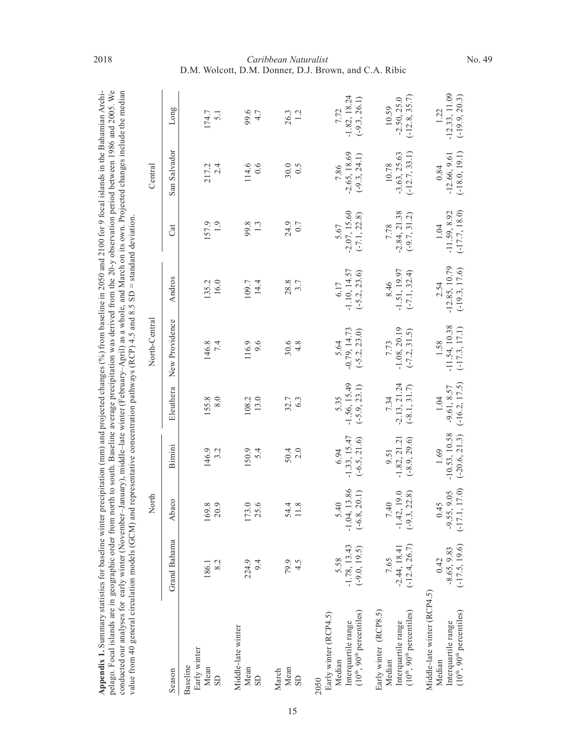| er precipitation (mm) and projected changes (%) from baseline in 2050 and 2100 for 9 focal islands in the Bahamian Archi-<br>u atatistina tor hasali | n north to south. Baseline average precipitation was derived from the 20-y observation period between 1986 and 2005. We<br>o ul els s' | er-January), middle-late winter (February-April) as a whole, and March on its own. Projected changes include the median<br>r early winter (1<br>neted our analyses for | and representative concentration pathways (RCP) 4.5 and 8.5 SD = standard deviation.<br>al circiilation modale (C) |
|------------------------------------------------------------------------------------------------------------------------------------------------------|----------------------------------------------------------------------------------------------------------------------------------------|------------------------------------------------------------------------------------------------------------------------------------------------------------------------|--------------------------------------------------------------------------------------------------------------------|
| へいへい                                                                                                                                                 | ומה ⊢ה∩רופוסמו                                                                                                                         |                                                                                                                                                                        | alue trom 4                                                                                                        |

| Appendix 1. Summary statistics for baseline winter precipitation (mm) and projected changes (%) from baseline in 2050 and 2100 for 9 focal islands in the Bahamian Archi-<br>pelago. Focal islands are in geographic order from north to south. Baseline average precipitation was derived from the 20-y observation period between 1986 and 2005. We<br>conducted our analyses for early winter (November–January), middle–late winter (February–April) as a whole, and March on its own. Projected changes include the median<br>value from 40 general circulation models (GCM) and representative concentration pathways (RCP) 4.5 and 8.5 SD = standard deviation. |                                           |                                             |                                            |                                          |                                            |                                            |                                            |                                            |                                            |
|------------------------------------------------------------------------------------------------------------------------------------------------------------------------------------------------------------------------------------------------------------------------------------------------------------------------------------------------------------------------------------------------------------------------------------------------------------------------------------------------------------------------------------------------------------------------------------------------------------------------------------------------------------------------|-------------------------------------------|---------------------------------------------|--------------------------------------------|------------------------------------------|--------------------------------------------|--------------------------------------------|--------------------------------------------|--------------------------------------------|--------------------------------------------|
|                                                                                                                                                                                                                                                                                                                                                                                                                                                                                                                                                                                                                                                                        |                                           | North                                       |                                            |                                          | North-Central                              |                                            |                                            | Central                                    |                                            |
| Season                                                                                                                                                                                                                                                                                                                                                                                                                                                                                                                                                                                                                                                                 | Grand Bahama                              | Abaco                                       | Bimini                                     | Eleuthera                                | New Providence                             | Andros                                     | Cat                                        | San Salvador                               | pО<br>Long                                 |
| Early winter<br>Baseline<br>Mean<br>SD                                                                                                                                                                                                                                                                                                                                                                                                                                                                                                                                                                                                                                 | 8.2<br>186.1                              | 169.8<br>20.9                               | 146.9<br>3.2                               | 155.8<br>8.0                             | 146.8<br>7.4                               | 135.2<br>16.0                              | 157.9<br>$\frac{1}{2}$                     | 217.2<br>2.4                               | 174.7<br>$\overline{5.1}$                  |
| Middle-late winter<br>Mean<br><b>GS</b>                                                                                                                                                                                                                                                                                                                                                                                                                                                                                                                                                                                                                                | 224.9<br>9.4                              | 173.0                                       | 150.9<br>5.4                               | 13.0<br>108.2                            | 116.9<br>9.6                               | 09.7<br>14.4                               | 99.8                                       | 114.6<br>0.6                               | 99.6<br>4.7                                |
| Mean<br>March<br><b>GS</b>                                                                                                                                                                                                                                                                                                                                                                                                                                                                                                                                                                                                                                             | 79.9<br>4.5                               | 54.4<br>11.8                                | $50.4$<br>2.0                              | $32.7$<br>6.3                            | $30.6$<br>4.8                              | 28.8<br>3.7                                | 24.9<br>$0.7\,$                            | 30.0<br>0.5                                | 26.3<br>1.2                                |
| $(10th, 90th$ percentiles)<br>Early winter (RCP4.5)<br>Interquartile range<br>Median<br>2050                                                                                                                                                                                                                                                                                                                                                                                                                                                                                                                                                                           | $-1.78, 13.43$<br>$(-9.0, 19.5)$<br>5.58  | $-1.04, 13.86$<br>20.1)<br>5.40<br>$(-6.8,$ | $-1.33, 15.47$<br>$(-6.5, 21.6)$<br>6.94   | $-1.56, 15.49$<br>$(-5.9, 23.1)$<br>5.35 | $-0.79, 14.73$<br>$(-5.2, 23.0)$<br>5.64   | $-1.10, 14.57$<br>$(-5.2, 23.6)$<br>6.17   | $5.67$<br>$-2.07, 15.60$<br>$(-7.1, 22.8)$ | $-2.65, 18.69$<br>$(-9.3, 24.1)$<br>7.86   | $-1.82, 18.24$<br>$(-9.3, 26.1)$<br>7.72   |
| Early winter (RCP8.5)<br>$(10th, 90th$ percentiles)<br>Interquartile range<br>Median                                                                                                                                                                                                                                                                                                                                                                                                                                                                                                                                                                                   | $(-12.4, 26.7)$<br>$-2.44, 18.41$<br>7.65 | $7.40$<br>-1.42, 19.0<br>22.8)<br>$(-9.3,$  | $-1.82, 21.21$<br>$(-8.9, 29.6)$<br>9.51   | $-2.13, 21.24$<br>$(-8.1, 31.7)$<br>7.34 | $-1.08, 20.19$<br>$(-7.2, 31.5)$<br>7.73   | $-1.51, 19.97$<br>$(-7.1, 32.4)$<br>8.46   | $-2.84, 21.38$<br>$(-9.7, 31.2)$<br>7.78   | $(-12.7, 33.1)$<br>$-3.63, 25.63$<br>10.78 | $(-12.8, 35.7)$<br>$-2.50, 25.0$<br>10.59  |
| Middle-late winter (RCP4.5)<br>$(10th, 90th$ percentiles)<br>Interquartile range<br>Median                                                                                                                                                                                                                                                                                                                                                                                                                                                                                                                                                                             | $(-17.5, 19.6)$<br>$-8.65, 9.83$<br>0.42  | $-9.55, 9.05$<br>$(-17.1, 17.0)$<br>0.45    | $-10.53, 10.58$<br>$(-20.6, 21.3)$<br>1.69 | $(-16.2, 17.5)$<br>$-9.61, 8.57$<br>1.04 | $-11.54, 10.38$<br>$(-17.3, 17.1)$<br>1.58 | $-12.85, 10.79$<br>$(-19.3, 17.6)$<br>2.54 | $(-17.7, 18.0)$<br>$-11.59, 8.92$<br>1.04  | $(-18.0, 19.1)$<br>$-12.66, 9.61$<br>0.84  | $-12.33, 11.09$<br>$(-19.9, 20.3)$<br>1.22 |

#### *Caribbean Naturalist* D.M. Wolcott, D.M. Donner, D.J. Brown, and C.A. Ribic 2018 **Caribbean Naturalist** No. 49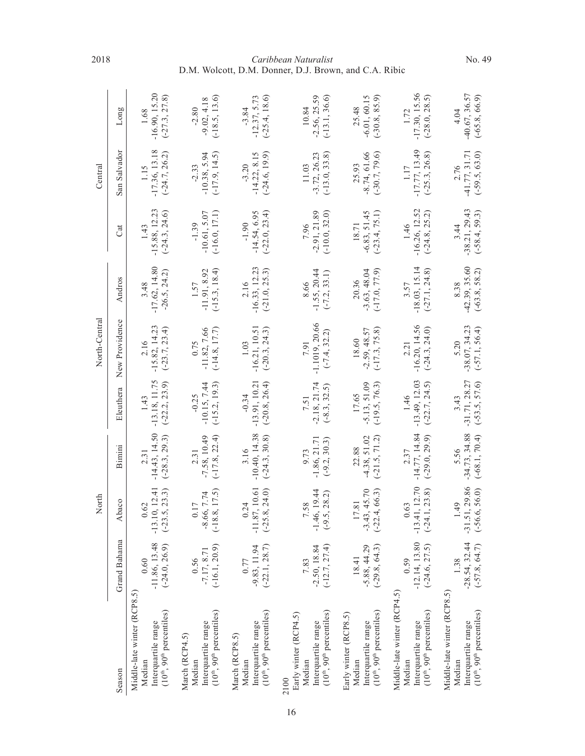|                                                                                                          |                                            | North                                                   |                                            |                                               | North-Central                              |                                            |                                              | Central                                      |                                              |
|----------------------------------------------------------------------------------------------------------|--------------------------------------------|---------------------------------------------------------|--------------------------------------------|-----------------------------------------------|--------------------------------------------|--------------------------------------------|----------------------------------------------|----------------------------------------------|----------------------------------------------|
| Season                                                                                                   | Grand Bahama                               | Abaco                                                   | Bimini                                     | Eleuthera                                     | New Providence                             | Andros                                     | Cat                                          | San Salvador                                 | Long                                         |
| Middle-late winter (RCP8.5)<br>$(10th, 90th$ percentiles)<br>Interquartile range<br>Median               | $-11.86, 13.48$<br>$(-24.0, 26.9)$<br>0.60 | 10, 12.41<br>(5, 23.3)<br>0.62<br>$(-23)$<br>$-13.$     | $-14.43, 14.50$<br>$(-28.3, 29.3)$<br>2.31 | $-13.18, 11.75$<br>$(-22.2, 23.9)$<br>1.43    | $-15.82, 14.23$<br>$(-23.7, 23.4)$<br>2.16 | $-17.62, 14.80$<br>$-26.5, 24.2$<br>3.48   | $-15.88, 12.23$<br>$(-24.3, 24.6)$<br>1.43   | $-17.36, 13.18$<br>$(-24.7, 26.2)$<br>1.15   | $-16.90, 15.20$<br>$(-27.3, 27.8)$<br>1.68   |
| $(10th, 90th$ percentiles)<br>Interquartile range<br>March (RCP4.5)<br>Median                            | $(-16.1, 20.9)$<br>$-7.17, 8.71$<br>0.56   | $(-18.8, 17.5)$<br>$-8.66, 7.74$<br>0.17                | $(-17.8, 22.4)$<br>$-7.58, 10.49$<br>2.31  | $(-15.2, 19.3)$<br>$-10.15, 7.44$<br>$-0.25$  | $(-14.8, 17.7)$<br>$-11.82, 7.66$<br>0.75  | $(-15.3, 18.4)$<br>$-11.91, 8.92$<br>1.57  | $(-16.0, 17.1)$<br>$-10.61, 5.07$<br>$-1.39$ | $-10.38, 5.94$<br>$(-17.9, 14.5)$<br>$-2.33$ | $(-18.5, 13.6)$<br>$-9.02, 4.18$<br>$-2.80$  |
| $(10th, 90th$ percentiles)<br>Interquartile range<br>March (RCP8.5)<br>Median                            | $(-22.1, 28.7)$<br>$-9.83, 11.94$<br>0.77  | $-11.87, 10.61$<br>.8, 24.0<br>0.24<br>$(-25)$          | $-10.40, 14.38$<br>$(-24.3, 30.8)$<br>3.16 | $-13.91, 10.21$<br>$(-20.8, 26.4)$<br>$-0.34$ | $-16.21, 10.51$<br>$(-20.3, 24.3)$<br>1.03 | $-16.33, 12.23$<br>$(-21.0, 25.3)$<br>2.16 | $(-22.0, 23.4)$<br>$-14.54, 6.95$<br>$-1.90$ | $-14.22, 8.15$<br>$(-24.6, 19.9)$<br>$-3.20$ | $(-25.4, 18.6)$<br>$-12.37, 5.73$<br>$-3.84$ |
| $(10^{th}, 90^{th}$ percentiles)<br>Early winter (RCP4.5)<br>Interquartile range<br>Median<br>2100       | $-2.50, 18.84$<br>$(-12.7, 27.4)$<br>7.83  | $-1.46, 19.44$<br>.5, 28.2<br>7.58<br>$\overline{(-9)}$ | $-1.86, 21.71$<br>$(-9.2, 30.3)$<br>9.73   | $-2.18, 21.74$<br>$(-8.3, 32.5)$<br>7.51      | $-1.1019, 20.66$<br>$(-7.4, 32.2)$<br>7.91 | $-1.55, 20.44$<br>$(-7.2, 33.1)$<br>8.66   | $-2.91, 21.89$<br>$(-10.0, 32.0)$<br>7.96    | $-3.72, 26.23$<br>$(-13.0, 33.8)$<br>11.03   | $-2.56, 25.59$<br>$(-13.1, 36.6)$<br>10.84   |
| $(10^{\text{th}}, 90^{\text{th}}$ percentiles)<br>Early winter (RCP8.5)<br>Interquartile range<br>Median | $-5.88, 44.29$<br>$(-29.8, 64.3)$<br>18.41 | $-3.43, 45.70$<br>$(-22.4, 66.3)$<br>17.81              | $-4.38, 51.02$<br>$(-21.5, 71.2)$<br>22.88 | $(-19.5, 76.3)$<br>$-5.13, 51.09$<br>17.65    | $-2.59, 48.57$<br>$(-17.3, 75.8)$<br>18.60 | $(-17.0, 77.9)$<br>$-3.63, 48.04$<br>20.36 | $-6.83, 51.45$<br>$(-23.4, 75.1)$<br>18.71   | $-8.74, 61.66$<br>$(-30.7, 79.6)$<br>25.93   | $-6.01, 60.15$<br>$(-30.8, 85.9)$<br>25.48   |
| Middle-late winter (RCP4.5)<br>$(10th, 90th$ percentiles)<br>Interquartile range<br>Median               | $-12.14, 13.80$<br>$(-24.6, 27.5)$         | $-13.41, 12.70$<br>$(-24.1, 23.8)$<br>0.63              | $-14.77, 14.84$<br>$(-29.0, 29.9)$<br>2.37 | $-13.49, 12.03$<br>$(-22.7, 24.5)$<br>1.46    | $-16.20, 14.56$<br>$(-24.3, 24.0)$<br>2.21 | $-18.03, 15.14$<br>$(-27.1, 24.8)$<br>3.57 | $-16.26, 12.52$<br>$(-24.8, 25.2)$<br>1.46   | $-17.77, 13.49$<br>$(-25.3, 26.8)$<br>1.17   | $-17.30, 15.56$<br>$(-28.0, 28.5)$<br>1.72   |
| Middle-late winter (RCP8.5)<br>$(10th, 90th$ percentiles)<br>Interquartile range<br>Median               | $-28.54, 32.44$<br>$(-57.8, 64.7)$<br>1.38 | $-31.51, 29.86$<br>$(-56.6, 56.0)$<br>1.49              | $-34.73, 34.88$<br>$(-68.1, 70.4)$<br>5.56 | $-31.71, 28.27$<br>$(-53.5, 57.6)$<br>3.43    | $-38.07, 34.23$<br>$(-57.1, 56.4)$<br>5.20 | $-42.39, 35.60$<br>$(-63.8, 58.2)$<br>8.38 | $-38.21, 29.43$<br>$(-58.4, 59.3)$<br>3.44   | $-41.77, 31.71$<br>$(-59.5, 63.0)$<br>2.76   | $-40.67, 36.57$<br>$(-65.8, 66.9)$<br>4.04   |

#### *Caribbean Naturalist* D.M. Wolcott, D.M. Donner, D.J. Brown, and C.A. Ribic 2018 **2018** Caribbean Naturalist **No. 49**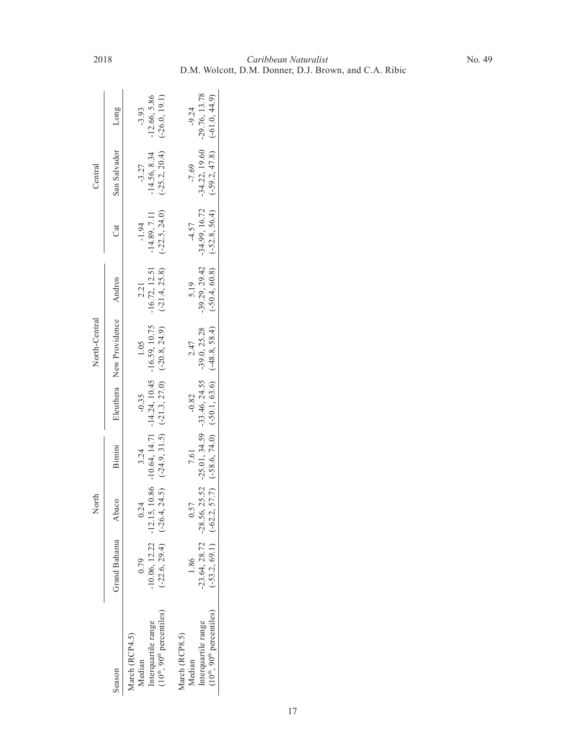|                                                                          |                   | North                                                                   |        |         | North-Central                                                                   |                                 |                 | $_{\rm Central}$                |                 |
|--------------------------------------------------------------------------|-------------------|-------------------------------------------------------------------------|--------|---------|---------------------------------------------------------------------------------|---------------------------------|-----------------|---------------------------------|-----------------|
| Season                                                                   | Grand Bahama      | Abaco                                                                   | Bimini |         | Eleuthera New Providence                                                        | Andros                          | Cat             | San Salvador                    | Long            |
| March (RCP4.5)<br>Median                                                 | 0.79              | 0.24                                                                    | 3.24   | $-0.35$ | 1.05                                                                            | 2.21                            | $-1.94$         | $-3.27$                         | $-3.93$         |
|                                                                          | 10.06, 12.22      |                                                                         |        |         | $-12.15$ , 10.86 $-10.64$ , 14.71 $-14.24$ , 10.45 $-16.59$ , 10.75             | $-16.72, 12.51$                 | $-14.89, 7.11$  | $-14.56, 8.34$                  | $-12.66, 5.86$  |
| interquartile range<br>(10 <sup>th</sup> , 90 <sup>th</sup> percentiles) | $-22.6, 29.4$     |                                                                         |        |         | $(-26.4, 24.5)$ $(-24.9, 31.5)$ $(-21.3, 27.0)$ $(-20.8, 24.9)$                 | $(-21.4, 25.8)$                 | $(-22.5, 24.0)$ | $(-25.2, 20.4)$                 | $(-26.0, 19.1)$ |
| March (RCP8.5)<br>Median                                                 | $\frac{86}{1.86}$ | 0.57                                                                    | 7.61   | $-0.82$ | 2.47                                                                            | 5.19                            | $-4.57$         | $-7.69$                         | $-9.24$         |
| nterquartile range                                                       |                   | 23.64, 28.72 - 28.56, 25.52 - 25.01, 34.59 - 33.46, 24.55 - 39.0, 25.28 |        |         |                                                                                 | $-39.29, 29.42$                 | $-34.99, 16.72$ | $-34.22, 19.60$                 | $-29.76, 13.78$ |
| $(10^{\text{th}}, 90^{\text{th}}$ percentiles)                           |                   |                                                                         |        |         | $(-53.2, 69.1)$ $(-62.2, 57.7)$ $(-58.6, 74.0)$ $(-50.1, 63.6)$ $(-48.8, 58.4)$ | $(-50.4, 60.8)$ $(-52.8, 56.4)$ |                 | $(-59.2, 47.8)$ $(-61.0, 44.9)$ |                 |
|                                                                          |                   |                                                                         |        |         |                                                                                 |                                 |                 |                                 |                 |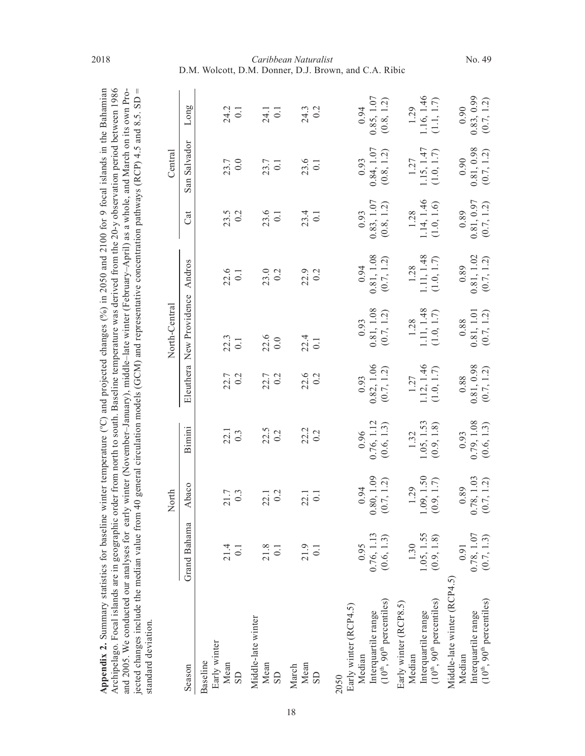| Appendix 2. Summary statistics for baseline winter temperature ( $^{\circ}$ C) and projected changes ( $^{\circ}$ %) in 2050 and 2100 for 9 focal islands in the Bahamian |
|---------------------------------------------------------------------------------------------------------------------------------------------------------------------------|
| Archipelago. Focal islands are in geographic order from north to south. Baseline temperature was derived from the 20-y observation period between 1986                    |
| and 2005. We conducted our analyses for early winter (November-January), middle-late winter (February-April) as a whole, and March on its own Pro-                        |
| jected changes include the median value from 40 general circulation models (GCM) and representative concentration pathways (RCP) 4.5 and 8.5. SD =                        |
| standard deviation.                                                                                                                                                       |

| standard deviation.                                                                                         |                                                                 |                                      |                                      |                                                                 |                                                                 |                                                                       |                                                                       |                                                                 |                                      |
|-------------------------------------------------------------------------------------------------------------|-----------------------------------------------------------------|--------------------------------------|--------------------------------------|-----------------------------------------------------------------|-----------------------------------------------------------------|-----------------------------------------------------------------------|-----------------------------------------------------------------------|-----------------------------------------------------------------|--------------------------------------|
|                                                                                                             |                                                                 | North                                |                                      |                                                                 | North-Central                                                   |                                                                       |                                                                       | Central                                                         |                                      |
| Season                                                                                                      | Grand Bahama                                                    | Abaco                                | Bimini                               | Eleuthera                                                       | New Providence                                                  | Andros                                                                | Cat                                                                   | San Salvador                                                    | Long                                 |
| Early winter<br>Baseline<br>Mean<br>${\rm SD}$                                                              | 21.4<br>0.1                                                     | 21.7<br>0.3                          | $\frac{22.1}{0.3}$                   | 22.7<br>0.2                                                     | $\frac{22.3}{0.1}$                                              | $22.6$<br>0.1                                                         | $23.5$<br>0.2                                                         | 23.7<br>0.0                                                     | 24.2<br>0.1                          |
| Middle-late winter<br>Mean<br>SD                                                                            | 21.8<br>0.1                                                     | 0.2<br>22.1                          | $22.5$<br>0.2                        | 22.7<br>0.2                                                     | $\frac{22.6}{0.0}$                                              | 23.0<br>0.2                                                           | $23.6$<br>0.1                                                         | 23.7<br>0.1                                                     | $24.1$<br>0.1                        |
| Mean<br>March<br><b>GS</b>                                                                                  | 21.9<br>$\overline{0.1}$                                        | 22.1<br>0.1                          | $22.2$<br>0.2                        | $22.6$<br>0.2                                                   | $\frac{22.4}{0.1}$                                              | 22.9<br>0.2                                                           | $23.4$<br>0.1                                                         | $23.6$<br>0.1                                                   | $24.3$<br>0.2                        |
| $(10^{th}, 90^{th}$ percentiles)<br>Early winter (RCP4.5)<br>Interquartile range<br>Median<br>2050          | 0.76, 1.13<br>(0.6, 1.3)<br>0.95                                | .80, 1.09<br>(0.7, 1.2)<br>0.94      | 0.76, 1.12<br>(0.6, 1.3)<br>0.96     | $\frac{0.82, 1.06}{(0.7, 1.2)}$<br>0.93                         | $\begin{array}{c} 0.93 \\ 0.81, 1.08 \end{array}$<br>(0.7, 1.2) | $\begin{array}{c} 0.94 \\ 0.81, \, 1.08 \\ (0.7, \, 1.2) \end{array}$ | $\begin{array}{c} 0.83, 1.07 \\ (0.8, 1.2) \end{array}$<br>0.93       | $\begin{array}{c} 0.93 \\ 0.84, 1.07 \end{array}$<br>(0.8, 1.2) | 0.85, 1.07<br>(0.8, 1.2)<br>0.94     |
| Interquartile range<br>(10 <sup>th</sup> , 90 <sup>th</sup> percentiles)<br>Early winter (RCP8.5)<br>Median | 1.05, 1.55<br>(0.9, 1.8)<br>1.30                                | $1.09, 1.50$<br>$(0.9, 1.7)$<br>1.29 | $1.05, 1.53$<br>$(0.9, 1.8)$<br>1.32 | $1.12, 1.46$<br>(1.0, 1.7)<br>1.27                              | $1.11, 1.48$<br>(1.0, 1.7)<br>1.28                              | $1.11, 1.48$<br>(1.0, 1.7)<br>1.28                                    | $1.14, 1.46$<br>$(1.0, 1.6)$<br>1.28                                  | $1.15, 1.47$<br>(1.0, 1.7)<br>1.27                              | $1.16, 1.46$<br>(1.1, 1.7)<br>1.29   |
| Middle-late winter (RCP4.5)<br>$(10^{th}, 90^{th}$ percentiles)<br>Interquartile range<br>Median            | $\begin{array}{c} 0.78, 1.07 \\ (0.7, 1.3) \end{array}$<br>0.91 | $0.78, 1.03$<br>$(0.7, 1.2)$<br>0.89 | $0.79, 1.08$<br>$(0.6, 1.3)$<br>0.93 | $\begin{array}{c} 0.81, 0.98 \\ (0.7, 1.2) \end{array}$<br>0.88 | $\begin{array}{c} 0.81, 1.01 \\ (0.7, 1.2) \end{array}$<br>0.88 | $\begin{array}{c} 0.81, \, 1.02 \\ (0.7, \, 1.2) \end{array}$<br>0.89 | $\begin{array}{c} 0.81, \, 0.97 \\ (0.7, \, 1.2) \end{array}$<br>0.89 | $\begin{array}{c} 0.81, 0.98 \\ (0.7, 1.2) \end{array}$<br>0.90 | $0.83, 0.99$<br>$(0.7, 1.2)$<br>0.90 |

#### *Caribbean Naturalist* D.M. Wolcott, D.M. Donner, D.J. Brown, and C.A. Ribic 2018 **2018** Caribbean Naturalist **No. 49**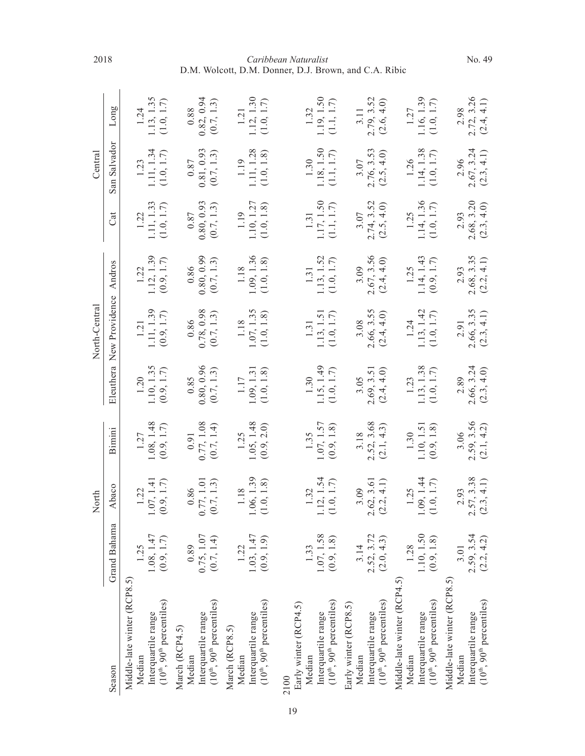|                                  |              | North                        |                      |            | North-Central            |                                                               |                                                         | Central                   |               |
|----------------------------------|--------------|------------------------------|----------------------|------------|--------------------------|---------------------------------------------------------------|---------------------------------------------------------|---------------------------|---------------|
| Season                           | Grand Bahama | Abaco                        | Bimini               |            | Eleuthera New Providence | Andros                                                        | Cat                                                     | San Salvador              | Long          |
| Middle-late winter (RCP8.5)      |              |                              |                      |            |                          |                                                               |                                                         |                           |               |
| Median                           | 1.25         | 1.22                         | 1.27                 | 1.20       | 1.21                     | 1.22                                                          | 1.22                                                    | 1.23                      | 1.24          |
| Interquartile range              | 1.08, 1.47   | .07, 1.41                    | 1.08, 1.48           | 1.10, 1.35 | 1.11, 1.39               | $1.12, 1.39$<br>(0.9, 1.7)                                    | 1.11, 1.33                                              | $1.11, 1.34$ $(1.0, 1.7)$ | 1.13, 1.35    |
| $(10^{th}, 90^{th}$ percentiles) | (0.9, 1.7)   | (0.9, 1.7)                   | (0.9, 1.7)           | (0.9, 1.7) | (0.9, 1.7)               |                                                               | (1.0, 1.7)                                              |                           | (1.0, 1.7)    |
| March (RCP4.5)                   |              |                              |                      |            |                          |                                                               |                                                         |                           |               |
| Median                           | 0.89         | $\frac{0.86}{0.77, 1.01}$    | 0.91                 | 0.85       | $0.86\,$                 | 0.86                                                          | $0.87\,$                                                | $0.87\,$                  | $0.88\,$      |
| Interquartile range              | 0.75, 1.07   | ○                            | 0.77, 1.08           | 0.80, 0.96 | 0.78, 0.98               | 0.80, 0.99                                                    | 0.80, 0.93                                              | 0.81, 0.93                | 0.82, 0.94    |
| $(10th, 90th$ percentiles)       | (0.7, 1.4)   | (0.7, 1.3)                   | (0.7, 1.4)           | (0.7, 1.3) | (0.7, 1.3)               | (0.7, 1.3)                                                    | (0.7, 1.3)                                              | (0.7, 1.3)                | (0.7, 1.3)    |
| March (RCP8.5)                   |              |                              |                      |            |                          |                                                               |                                                         |                           |               |
| Median                           | 1.22         | 1.18                         | 1.25                 | 1.17       | 1.18                     | 1.18                                                          | 1.19                                                    | 1.19                      | 121           |
| Interquartile range              | 1.03, 1.47   | .06, 1.39                    | 1.05, 1.48           | 1.09, 1.31 | 1.07, 1.35               | 1.09, 1.36                                                    | 1.10, 1.27                                              | 1.11, 1.28                | 1.12, 1.30    |
| $(10^{th}, 90^{th}$ percentiles) | (0.9, 1.9)   | (1.0, 1.8)                   | (0.9, 2.0)           | (1.0, 1.8) | (1.0, 1.8)               | (1.0, 1.8)                                                    | (1.0, 1.8)                                              | (1.0, 1.8)                | (1.0, 1.7)    |
| 2100                             |              |                              |                      |            |                          |                                                               |                                                         |                           |               |
| Early winter (RCP4.5)            |              |                              |                      |            |                          |                                                               |                                                         |                           |               |
| Median                           | 1.33         | 1.32                         | $1.35$<br>1.07, 1.57 | 1.30       | 1.31                     | 1.31                                                          | 1.31                                                    | 1.30                      | 1.32          |
| Interquartile range              | 1.07, 1.58   | 1.12, 1.54                   |                      | 1.15, 1.49 | 1.13, 1.51               | $\begin{array}{c} 1.13, \, 1.52 \\ (1.0, \, 1.7) \end{array}$ | $\begin{array}{c} 1.17, 1.50 \\ (1.1, 1.7) \end{array}$ | 1.18, 1.50                | 1.19, 1.50    |
| $(10^{th}, 90^{th}$ percentiles) | (0.9, 1.8)   | (1.0, 1.7)                   | (0.9, 1.8)           | (1.0, 1.7) | (1.0, 1.7)               |                                                               |                                                         | (1.1, 1.7)                | (1.1, 1.7)    |
| Early winter (RCP8.5)            |              |                              |                      |            |                          |                                                               |                                                         |                           |               |
| Median                           | 3.14         | 3.09                         | 3.18                 | 3.05       | 3.08                     | 3.09                                                          | 3.07                                                    | 3.07                      | 3.11          |
| Interquartile range              | 2.52, 3.72   | .62, 3.61<br>$\mathbf 2$     | 2.52, 3.68           | 2.69, 3.51 | 2.66, 3.55               | 2.67, 3.56                                                    | 2.74, 3.52                                              | 2.76, 3.53                | 2.79, 3.52    |
| $(10th, 90th$ percentiles)       | (2.0, 4.3)   | (2.2, 4.1)                   | (2.1, 4.3)           | (2.4, 4.0) | (2.4, 4.0)               | (2.4, 4.0)                                                    | (2.5, 4.0)                                              | (2.5, 4.0)                | (2.6, 4.0)    |
| Middle-late winter (RCP4.5)      |              |                              |                      |            |                          |                                                               |                                                         |                           |               |
| Median                           | 1.28         |                              | 1.30                 | 1.23       | 1.24                     | 1.25                                                          | 1.25                                                    | 1.26                      | 1.27          |
| Interquartile range              | 1.10, 1.50   | $1.25$<br>1.09, 1.44         | 1.10, 1.51           | 1.13, 1.38 | 1.13, 1.42               | 1.14, 1.43                                                    | 1.14, 1.36                                              | 1.14, 1.38                | 1.16, 1.39    |
| $(10th, 90th$ percentiles)       | (0.9, 1.8)   | (1.0, 1.7)                   | (0.9, 1.8)           | (1.0, 1.7) | (1.0, 1.7)               | (0.9, 1.7)                                                    | (1.0, 1.7)                                              | $(1.0,\, 1.7)$            | $(1.0,\,1.7)$ |
| Middle-late winter (RCP8.5)      |              |                              |                      |            |                          |                                                               |                                                         |                           |               |
| Median                           | 3.01         | 2.93                         | 3.06                 | 2.89       | 2.91                     | 2.93                                                          | 2.93                                                    | 2.96                      | 2.98          |
| Interquartile range              | 2.59, 3.54   | .57, 3.38<br>$\mathbf{\sim}$ | 2.59, 3.56           | 2.66, 3.24 | 2.66, 3.35               | 2.68, 3.35                                                    | 2.68, 3.20                                              | 2.67, 3.24                | 2.72, 3.26    |
| $(10th, 90th$ percentiles)       | (2.2, 4.2)   | (2.3, 4.1)                   | (2.1, 4.2)           | (2.3, 4.0) | (2.3, 4.1)               | (2.2, 4.1)                                                    | (2.3, 4.0)                                              | (2.3, 4.1)                | (2.4, 4.1)    |

#### *Caribbean Naturalist* D.M. Wolcott, D.M. Donner, D.J. Brown, and C.A. Ribic 2018 **Caribbean Naturalist** No. 49